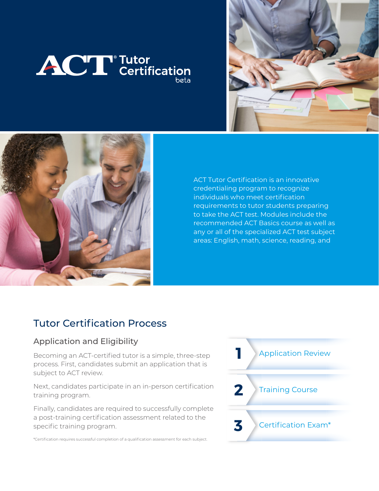





ACT Tutor Certification is an innovative credentialing program to recognize individuals who meet certification requirements to tutor students preparing to take the ACT test. Modules include the recommended ACT Basics course as well as any or all of the specialized ACT test subject areas: English, math, science, reading, and

# Tutor Certification Process

#### Application and Eligibility

Becoming an ACT-certified tutor is a simple, three-step process. First, candidates submit an application that is subject to ACT review.

Next, candidates participate in an in-person certification training program.

Finally, candidates are required to successfully complete a post-training certification assessment related to the specific training program.

\*Certification requires successful completion of a qualification assessment for each subject.